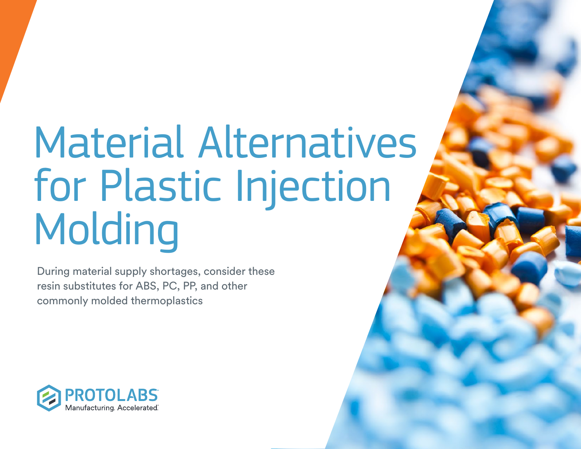# Material Alternatives for Plastic Injection Molding

During material supply shortages, consider these resin substitutes for ABS, PC, PP, and other commonly molded thermoplastics

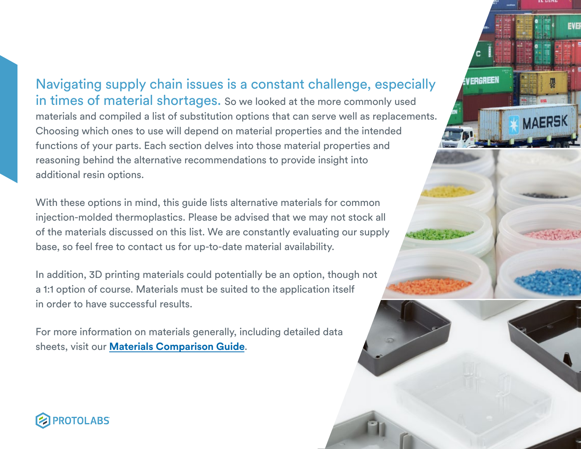Navigating supply chain issues is a constant challenge, especially in times of material shortages. So we looked at the more commonly used materials and compiled a list of substitution options that can serve well as replacements. Choosing which ones to use will depend on material properties and the intended functions of your parts. Each section delves into those material properties and reasoning behind the alternative recommendations to provide insight into additional resin options.

With these options in mind, this guide lists alternative materials for common injection-molded thermoplastics. Please be advised that we may not stock all of the materials discussed on this list. We are constantly evaluating our supply base, so feel free to contact us for up-to-date material availability.

In addition, 3D printing materials could potentially be an option, though not a 1:1 option of course. Materials must be suited to the application itself in order to have successful results.

For more information on materials generally, including detailed data sheets, visit our **[Materials Comparison Guide](https://www.protolabs.com/materials/comparison-guide/)**.





EVE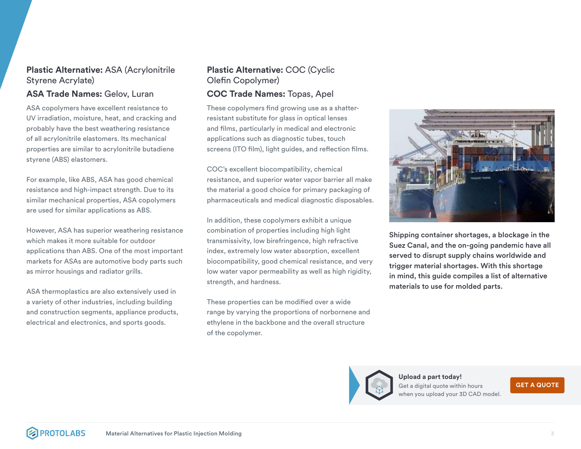#### **Plastic Alternative:** ASA (Acrylonitrile Styrene Acrylate)

#### **ASA Trade Names:** Gelov, Luran

ASA copolymers have excellent resistance to UV irradiation, moisture, heat, and cracking and probably have the best weathering resistance of all acrylonitrile elastomers. Its mechanical properties are similar to acrylonitrile butadiene styrene (ABS) elastomers.

For example, like ABS, ASA has good chemical resistance and high-impact strength. Due to its similar mechanical properties, ASA copolymers are used for similar applications as ABS.

However, ASA has superior weathering resistance which makes it more suitable for outdoor applications than ABS. One of the most important markets for ASAs are automotive body parts such as mirror housings and radiator grills.

ASA thermoplastics are also extensively used in a variety of other industries, including building and construction segments, appliance products, electrical and electronics, and sports goods.

#### **Plastic Alternative:** COC (Cyclic Olefin Copolymer)

#### **COC Trade Names:** Topas, Apel

These copolymers find growing use as a shatterresistant substitute for glass in optical lenses and films, particularly in medical and electronic applications such as diagnostic tubes, touch screens (ITO film), light guides, and reflection films.

COC's excellent biocompatibility, chemical resistance, and superior water vapor barrier all make the material a good choice for primary packaging of pharmaceuticals and medical diagnostic disposables.

In addition, these copolymers exhibit a unique combination of properties including high light transmissivity, low birefringence, high refractive index, extremely low water absorption, excellent biocompatibility, good chemical resistance, and very low water vapor permeability as well as high rigidity, strength, and hardness.

These properties can be modified over a wide range by varying the proportions of norbornene and ethylene in the backbone and the overall structure of the copolymer.



Shipping container shortages, a blockage in the Suez Canal, and the on-going pandemic have all served to disrupt supply chains worldwide and trigger material shortages. With this shortage in mind, this guide compiles a list of alternative materials to use for molded parts.



**Upload a part today!** Get a digital quote within hours when you upload your 3D CAD model.

**[GET A QUOTE](https://identity.protolabs.com/signin?lang=en-US&_ga=2.6620401.250435958.1617282824-310232876.1602699118&returnUrl=%2Fconnect%2Fauthorize%2Fcallback%3Fclient_id%3Dcommerce-spa-global-client%26redirect_uri%3Dhttps%253A%252F%252Fbuildit.protolabs.com%252Fhandshake%26response_type%3Dcode%26scope%3Dopenid%2520profile%2520email%2520phone%2520address%2520global-api-access-scope%2520offline_access%26state%3D5481bb25be9a49dd8a6a060b8bf2bdd4%26code_challenge%3DdoHCKlrtlup1NLS6fAqWMbIRNbelyLuxPbNtDoNMpow%26code_challenge_method%3DS256%26response_mode%3Dquery%26lang%3Den-US%26_ga%3D2.6620401.250435958.1617282824-310232876.1602699118)**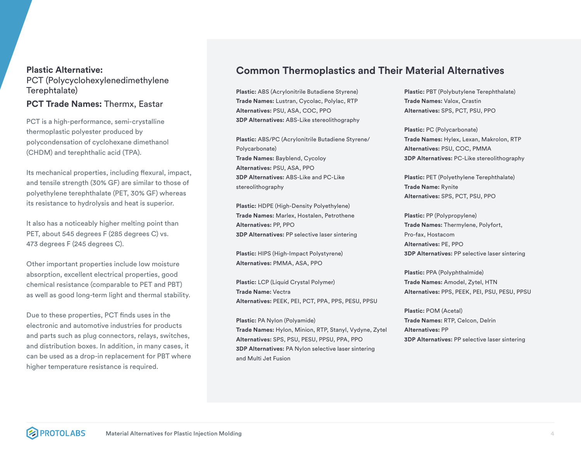#### **Plastic Alternative:**  PCT (Polycyclohexylenedimethylene Terephtalate)

#### **PCT Trade Names:** Thermx, Eastar

PCT is a high-performance, semi-crystalline thermoplastic polyester produced by polycondensation of cyclohexane dimethanol (CHDM) and terephthalic acid (TPA).

Its mechanical properties, including flexural, impact, and tensile strength (30% GF) are similar to those of polyethylene terephthalate (PET, 30% GF) whereas its resistance to hydrolysis and heat is superior.

It also has a noticeably higher melting point than PET, about 545 degrees F (285 degrees C) vs. 473 degrees F (245 degrees C).

Other important properties include low moisture absorption, excellent electrical properties, good chemical resistance (comparable to PET and PBT) as well as good long-term light and thermal stability.

Due to these properties, PCT finds uses in the electronic and automotive industries for products and parts such as plug connectors, relays, switches, and distribution boxes. In addition, in many cases, it can be used as a drop-in replacement for PBT where higher temperature resistance is required.

#### **Common Thermoplastics and Their Material Alternatives**

**Plastic:** ABS (Acrylonitrile Butadiene Styrene) **Trade Names:** Lustran, Cycolac, Polylac, RTP **Alternatives:** PSU, ASA, COC, PPO **3DP Alternatives:** ABS-Like stereolithography

**Plastic:** ABS/PC (Acrylonitrile Butadiene Styrene/ Polycarbonate) **Trade Names:** Bayblend, Cycoloy **Alternatives:** PSU, ASA, PPO **3DP Alternatives:** ABS-Like and PC-Like stereolithography

**Plastic:** HDPE (High-Density Polyethylene) **Trade Names:** Marlex, Hostalen, Petrothene **Alternatives:** PP, PPO **3DP Alternatives:** PP selective laser sintering

**Plastic:** HIPS (High-Impact Polystyrene) **Alternatives:** PMMA, ASA, PPO

**Plastic:** LCP (Liquid Crystal Polymer) **Trade Name:** Vectra **Alternatives:** PEEK, PEI, PCT, PPA, PPS, PESU, PPSU

**Plastic:** PA Nylon (Polyamide) **Trade Names:** Hylon, Minion, RTP, Stanyl, Vydyne, Zytel **Alternatives:** SPS, PSU, PESU, PPSU, PPA, PPO **3DP Alternatives:** PA Nylon selective laser sintering and Multi Jet Fusion

**Plastic:** PBT (Polybutylene Terephthalate) **Trade Names:** Valox, Crastin **Alternatives:** SPS, PCT, PSU, PPO

**Plastic:** PC (Polycarbonate) **Trade Names:** Hylex, Lexan, Makrolon, RTP **Alternatives:** PSU, COC, PMMA **3DP Alternatives:** PC-Like stereolithography

**Plastic:** PET (Polyethylene Terephthalate) **Trade Name:** Rynite **Alternatives:** SPS, PCT, PSU, PPO

**Plastic:** PP (Polypropylene) **Trade Names:** Thermylene, Polyfort, Pro-fax, Hostacom **Alternatives:** PE, PPO **3DP Alternatives:** PP selective laser sintering

**Plastic:** PPA (Polyphthalmide) **Trade Names:** Amodel, Zytel, HTN **Alternatives:** PPS, PEEK, PEI, PSU, PESU, PPSU

**Plastic:** POM (Acetal) **Trade Names:** RTP, Celcon, Delrin **Alternatives:** PP **3DP Alternatives:** PP selective laser sintering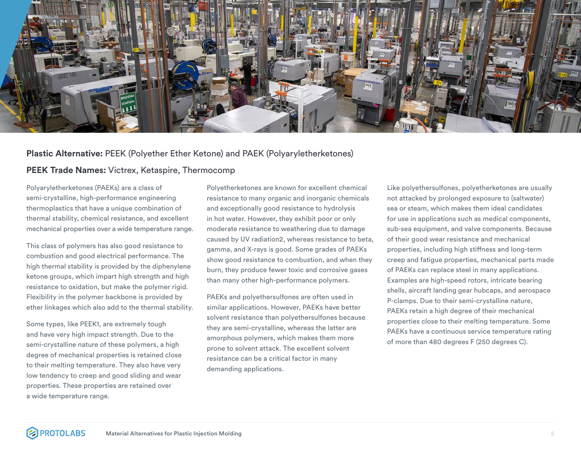

#### **Plastic Alternative:** PEEK (Polyether Ether Ketone) and PAEK (Polyaryletherketones)

#### **PEEK Trade Names:** Victrex, Ketaspire, Thermocomp

Polyaryletherketones (PAEKs) are a class of semi-crystalline, high-performance engineering thermoplastics that have a unique combination of thermal stability, chemical resistance, and excellent mechanical properties over a wide temperature range.

This class of polymers has also good resistance to combustion and good electrical performance. The high thermal stability is provided by the diphenylene ketone groups, which impart high strength and high resistance to oxidation, but make the polymer rigid. Flexibility in the polymer backbone is provided by ether linkages which also add to the thermal stability.

Some types, like PEEK1, are extremely tough and have very high impact strength. Due to the semi-crystalline nature of these polymers, a high degree of mechanical properties is retained close to their melting temperature. They also have very low tendency to creep and good sliding and wear properties. These properties are retained over a wide temperature range.

Polyetherketones are known for excellent chemical resistance to many organic and inorganic chemicals and exceptionally good resistance to hydrolysis in hot water. However, they exhibit poor or only moderate resistance to weathering due to damage caused by UV radiation2, whereas resistance to beta, gamma, and X-rays is good. Some grades of PAEKs show good resistance to combustion, and when they burn, they produce fewer toxic and corrosive gases than many other high-performance polymers.

PAEKs and polyethersulfones are often used in similar applications. However, PAEKs have better solvent resistance than polyethersulfones because they are semi-crystalline, whereas the latter are amorphous polymers, which makes them more prone to solvent attack. The excellent solvent resistance can be a critical factor in many demanding applications.

Like polyethersulfones, polyetherketones are usually not attacked by prolonged exposure to (saltwater) sea or steam, which makes them ideal candidates for use in applications such as medical components, sub-sea equipment, and valve components. Because of their good wear resistance and mechanical properties, including high stiffness and long-term creep and fatigue properties, mechanical parts made of PAEKs can replace steel in many applications. Examples are high-speed rotors, intricate bearing shells, aircraft landing gear hubcaps, and aerospace P-clamps. Due to their semi-crystalline nature, PAEKs retain a high degree of their mechanical properties close to their melting temperature. Some PAEKs have a continuous service temperature rating of more than 480 degrees F (250 degrees C).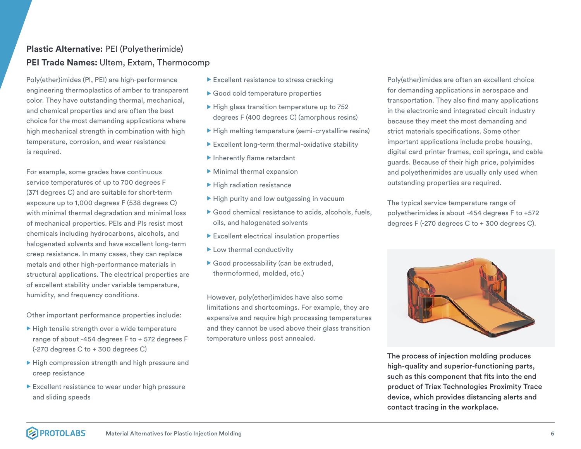#### **Plastic Alternative:** PEI (Polyetherimide) **PEI Trade Names:** Ultem, Extem, Thermocomp

Poly(ether)imides (PI, PEI) are high-performance engineering thermoplastics of amber to transparent color. They have outstanding thermal, mechanical, and chemical properties and are often the best choice for the most demanding applications where high mechanical strength in combination with high temperature, corrosion, and wear resistance is required.

For example, some grades have continuous service temperatures of up to 700 degrees F (371 degrees C) and are suitable for short-term exposure up to 1,000 degrees F (538 degrees C) with minimal thermal degradation and minimal loss of mechanical properties. PEIs and PIs resist most chemicals including hydrocarbons, alcohols, and halogenated solvents and have excellent long-term creep resistance. In many cases, they can replace metals and other high-performance materials in structural applications. The electrical properties are of excellent stability under variable temperature, humidity, and frequency conditions.

Other important performance properties include:

- $\blacktriangleright$  High tensile strength over a wide temperature range of about -454 degrees F to + 572 degrees F (-270 degrees C to + 300 degrees C)
- $\blacktriangleright$  High compression strength and high pressure and creep resistance
- $\blacktriangleright$  Excellent resistance to wear under high pressure and sliding speeds
- $\blacktriangleright$  Excellent resistance to stress cracking
- $\blacktriangleright$  Good cold temperature properties
- $\blacktriangleright$  High glass transition temperature up to 752 degrees F (400 degrees C) (amorphous resins)
- $\blacktriangleright$  High melting temperature (semi-crystalline resins)
- $\blacktriangleright$  Excellent long-term thermal-oxidative stability
- $\blacktriangleright$  Inherently flame retardant
- $\blacktriangleright$  Minimal thermal expansion
- $\blacktriangleright$  High radiation resistance
- $\blacktriangleright$  High purity and low outgassing in vacuum
- $\blacktriangleright$  Good chemical resistance to acids, alcohols, fuels, oils, and halogenated solvents
- $\blacktriangleright$  Excellent electrical insulation properties
- $\blacktriangleright$  Low thermal conductivity
- $\blacktriangleright$  Good processability (can be extruded, thermoformed, molded, etc.)

However, poly(ether)imides have also some limitations and shortcomings. For example, they are expensive and require high processing temperatures and they cannot be used above their glass transition temperature unless post annealed.

Poly(ether)imides are often an excellent choice for demanding applications in aerospace and transportation. They also find many applications in the electronic and integrated circuit industry because they meet the most demanding and strict materials specifications. Some other important applications include probe housing, digital card printer frames, coil springs, and cable guards. Because of their high price, polyimides and polyetherimides are usually only used when outstanding properties are required.

The typical service temperature range of polyetherimides is about -454 degrees F to +572 degrees F (-270 degrees C to + 300 degrees C).



The process of injection molding produces high-quality and superior-functioning parts, such as this component that fits into the end product of Triax Technologies Proximity Trace device, which provides distancing alerts and contact tracing in the workplace.

#### **PROTOLABS** Material Alternatives for Plastic Injection Molding 6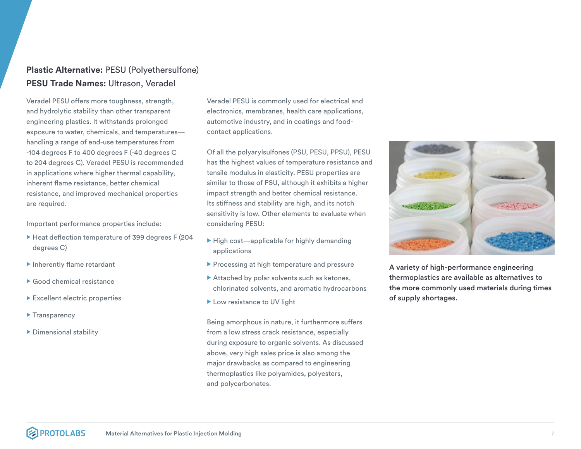#### **Plastic Alternative:** PESU (Polyethersulfone) **PESU Trade Names:** Ultrason, Veradel

Veradel PESU offers more toughness, strength, and hydrolytic stability than other transparent engineering plastics. It withstands prolonged exposure to water, chemicals, and temperatures handling a range of end-use temperatures from -104 degrees F to 400 degrees F (-40 degrees C to 204 degrees C). Veradel PESU is recommended in applications where higher thermal capability, inherent flame resistance, better chemical resistance, and improved mechanical properties are required.

Important performance properties include:

- $\blacktriangleright$  Heat deflection temperature of 399 degrees F (204 degrees C)
- $\blacktriangleright$  Inherently flame retardant
- $\blacktriangleright$  Good chemical resistance
- $\blacktriangleright$  Excellent electric properties
- $\blacktriangleright$  Transparency
- $\blacktriangleright$  Dimensional stability

Veradel PESU is commonly used for electrical and electronics, membranes, health care applications, automotive industry, and in coatings and foodcontact applications.

Of all the polyarylsulfones (PSU, PESU, PPSU), PESU has the highest values of temperature resistance and tensile modulus in elasticity. PESU properties are similar to those of PSU, although it exhibits a higher impact strength and better chemical resistance. Its stiffness and stability are high, and its notch sensitivity is low. Other elements to evaluate when considering PESU:

- $\blacktriangleright$  High cost—applicable for highly demanding applications
- $\blacktriangleright$  Processing at high temperature and pressure
- $\blacktriangleright$  Attached by polar solvents such as ketones, chlorinated solvents, and aromatic hydrocarbons
- $\blacktriangleright$  Low resistance to UV light

Being amorphous in nature, it furthermore suffers from a low stress crack resistance, especially during exposure to organic solvents. As discussed above, very high sales price is also among the major drawbacks as compared to engineering thermoplastics like polyamides, polyesters, and polycarbonates.



A variety of high-performance engineering thermoplastics are available as alternatives to the more commonly used materials during times of supply shortages.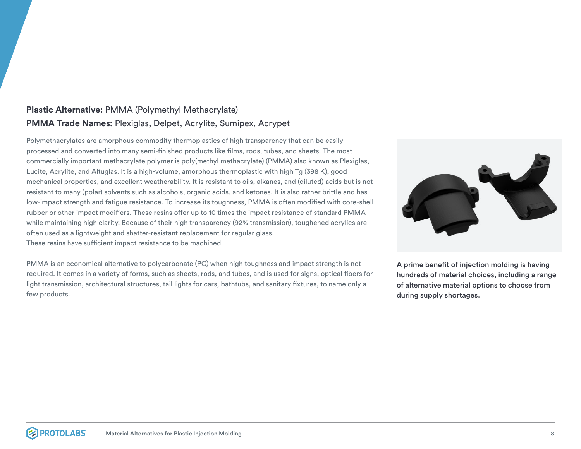#### **Plastic Alternative:** PMMA (Polymethyl Methacrylate) **PMMA Trade Names:** Plexiglas, Delpet, Acrylite, Sumipex, Acrypet

Polymethacrylates are amorphous commodity thermoplastics of high transparency that can be easily processed and converted into many semi-finished products like films, rods, tubes, and sheets. The most commercially important methacrylate polymer is poly(methyl methacrylate) (PMMA) also known as Plexiglas, Lucite, Acrylite, and Altuglas. It is a high-volume, amorphous thermoplastic with high Tg (398 K), good mechanical properties, and excellent weatherability. It is resistant to oils, alkanes, and (diluted) acids but is not resistant to many (polar) solvents such as alcohols, organic acids, and ketones. It is also rather brittle and has low-impact strength and fatigue resistance. To increase its toughness, PMMA is often modified with core-shell rubber or other impact modifiers. These resins offer up to 10 times the impact resistance of standard PMMA while maintaining high clarity. Because of their high transparency (92% transmission), toughened acrylics are often used as a lightweight and shatter-resistant replacement for regular glass. These resins have sufficient impact resistance to be machined.

PMMA is an economical alternative to polycarbonate (PC) when high toughness and impact strength is not required. It comes in a variety of forms, such as sheets, rods, and tubes, and is used for signs, optical fibers for light transmission, architectural structures, tail lights for cars, bathtubs, and sanitary fixtures, to name only a few products.



A prime benefit of injection molding is having hundreds of material choices, including a range of alternative material options to choose from during supply shortages.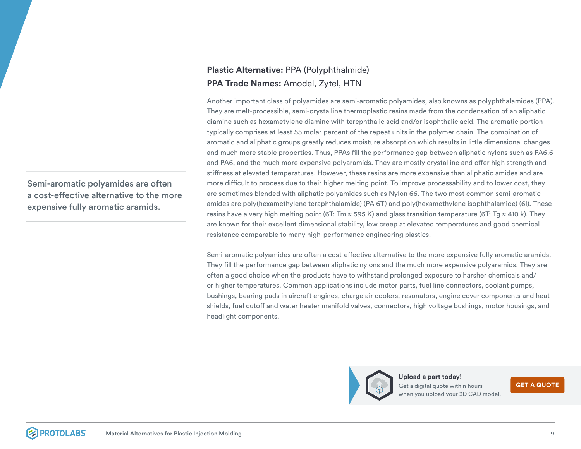Semi-aromatic polyamides are often a cost-effective alternative to the more expensive fully aromatic aramids.

#### **Plastic Alternative:** PPA (Polyphthalmide) **PPA Trade Names:** Amodel, Zytel, HTN

Another important class of polyamides are semi-aromatic polyamides, also knowns as polyphthalamides (PPA). They are melt-processible, semi-crystalline thermoplastic resins made from the condensation of an aliphatic diamine such as hexametylene diamine with terephthalic acid and/or isophthalic acid. The aromatic portion typically comprises at least 55 molar percent of the repeat units in the polymer chain. The combination of aromatic and aliphatic groups greatly reduces moisture absorption which results in little dimensional changes and much more stable properties. Thus, PPAs fill the performance gap between aliphatic nylons such as PA6.6 and PA6, and the much more expensive polyaramids. They are mostly crystalline and offer high strength and stiffness at elevated temperatures. However, these resins are more expensive than aliphatic amides and are more difficult to process due to their higher melting point. To improve processability and to lower cost, they are sometimes blended with aliphatic polyamides such as Nylon 66. The two most common semi-aromatic amides are poly(hexamethylene teraphthalamide) (PA 6T) and poly(hexamethylene isophthalamide) (6I). These resins have a very high melting point (6T: Tm  $\approx$  595 K) and glass transition temperature (6T: Tg  $\approx$  410 k). They are known for their excellent dimensional stability, low creep at elevated temperatures and good chemical resistance comparable to many high-performance engineering plastics.

Semi-aromatic polyamides are often a cost-effective alternative to the more expensive fully aromatic aramids. They fill the performance gap between aliphatic nylons and the much more expensive polyaramids. They are often a good choice when the products have to withstand prolonged exposure to harsher chemicals and/ or higher temperatures. Common applications include motor parts, fuel line connectors, coolant pumps, bushings, bearing pads in aircraft engines, charge air coolers, resonators, engine cover components and heat shields, fuel cutoff and water heater manifold valves, connectors, high voltage bushings, motor housings, and headlight components.



**Upload a part today!** Get a digital quote within hours when you upload your 3D CAD model.

**[GET A QUOTE](https://identity.protolabs.com/signin?lang=en-US&_ga=2.6620401.250435958.1617282824-310232876.1602699118&returnUrl=%2Fconnect%2Fauthorize%2Fcallback%3Fclient_id%3Dcommerce-spa-global-client%26redirect_uri%3Dhttps%253A%252F%252Fbuildit.protolabs.com%252Fhandshake%26response_type%3Dcode%26scope%3Dopenid%2520profile%2520email%2520phone%2520address%2520global-api-access-scope%2520offline_access%26state%3D5481bb25be9a49dd8a6a060b8bf2bdd4%26code_challenge%3DdoHCKlrtlup1NLS6fAqWMbIRNbelyLuxPbNtDoNMpow%26code_challenge_method%3DS256%26response_mode%3Dquery%26lang%3Den-US%26_ga%3D2.6620401.250435958.1617282824-310232876.1602699118)**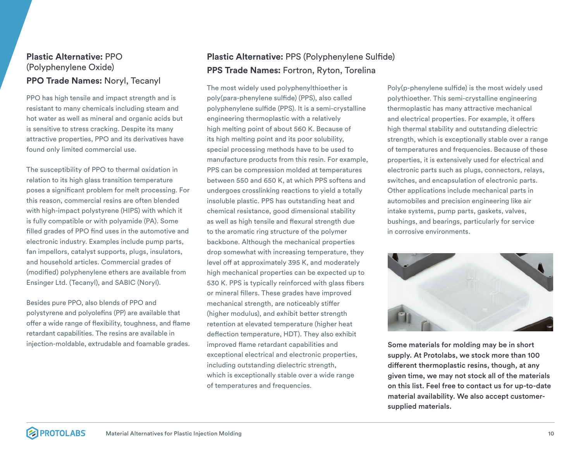#### **Plastic Alternative:** PPO (Polyphenylene Oxide) **PPO Trade Names:** Noryl, Tecanyl

PPO has high tensile and impact strength and is resistant to many chemicals including steam and hot water as well as mineral and organic acids but is sensitive to stress cracking. Despite its many attractive properties, PPO and its derivatives have found only limited commercial use.

The susceptibility of PPO to thermal oxidation in relation to its high glass transition temperature poses a significant problem for melt processing. For this reason, commercial resins are often blended with high-impact polystyrene (HIPS) with which it is fully compatible or with polyamide (PA). Some filled grades of PPO find uses in the automotive and electronic industry. Examples include pump parts, fan impellors, catalyst supports, plugs, insulators, and household articles. Commercial grades of (modified) polyphenylene ethers are available from Ensinger Ltd. (Tecanyl), and SABIC (Noryl).

Besides pure PPO, also blends of PPO and polystyrene and polyolefins (PP) are available that offer a wide range of flexibility, toughness, and flame retardant capabilities. The resins are available in injection-moldable, extrudable and foamable grades.

### **Plastic Alternative:** PPS (Polyphenylene Sulfide) **PPS Trade Names:** Fortron, Ryton, Torelina

The most widely used polyphenylthioether is poly(para-phenylene sulfide) (PPS), also called polyphenylene sulfide (PPS). It is a semi-crystalline engineering thermoplastic with a relatively high melting point of about 560 K. Because of its high melting point and its poor solubility, special processing methods have to be used to manufacture products from this resin. For example, PPS can be compression molded at temperatures between 550 and 650 K, at which PPS softens and undergoes crosslinking reactions to yield a totally insoluble plastic. PPS has outstanding heat and chemical resistance, good dimensional stability as well as high tensile and flexural strength due to the aromatic ring structure of the polymer backbone. Although the mechanical properties drop somewhat with increasing temperature, they level off at approximately 395 K, and moderately high mechanical properties can be expected up to 530 K. PPS is typically reinforced with glass fibers or mineral fillers. These grades have improved mechanical strength, are noticeably stiffer (higher modulus), and exhibit better strength retention at elevated temperature (higher heat deflection temperature, HDT). They also exhibit improved flame retardant capabilities and exceptional electrical and electronic properties, including outstanding dielectric strength, which is exceptionally stable over a wide range of temperatures and frequencies.

Poly(p-phenylene sulfide) is the most widely used polythioether. This semi-crystalline engineering thermoplastic has many attractive mechanical and electrical properties. For example, it offers high thermal stability and outstanding dielectric strength, which is exceptionally stable over a range of temperatures and frequencies. Because of these properties, it is extensively used for electrical and electronic parts such as plugs, connectors, relays, switches, and encapsulation of electronic parts. Other applications include mechanical parts in automobiles and precision engineering like air intake systems, pump parts, gaskets, valves, bushings, and bearings, particularly for service in corrosive environments.



Some materials for molding may be in short supply. At Protolabs, we stock more than 100 different thermoplastic resins, though, at any given time, we may not stock all of the materials on this list. Feel free to contact us for up-to-date material availability. We also accept customersupplied materials.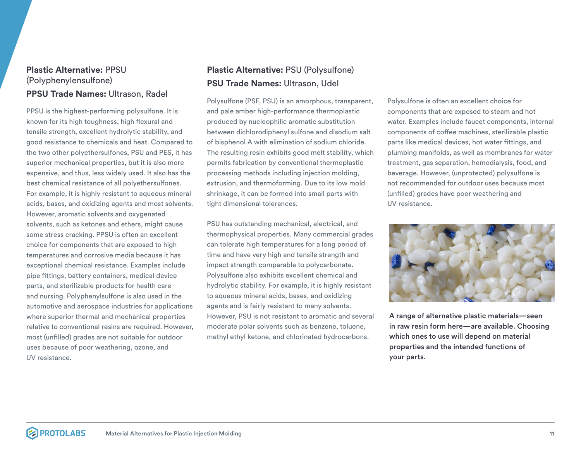#### **Plastic Alternative:** PPSU (Polyphenylensulfone) **PPSU Trade Names:** Ultrason, Radel

PPSU is the highest-performing polysulfone. It is known for its high toughness, high flexural and tensile strength, excellent hydrolytic stability, and good resistance to chemicals and heat. Compared to the two other polyethersulfones, PSU and PES, it has superior mechanical properties, but it is also more expensive, and thus, less widely used. It also has the best chemical resistance of all polyethersulfones. For example, it is highly resistant to aqueous mineral acids, bases, and oxidizing agents and most solvents. However, aromatic solvents and oxygenated solvents, such as ketones and ethers, might cause some stress cracking. PPSU is often an excellent choice for components that are exposed to high temperatures and corrosive media because it has exceptional chemical resistance. Examples include pipe fittings, battery containers, medical device parts, and sterilizable products for health care and nursing. Polyphenylsulfone is also used in the automotive and aerospace industries for applications where superior thermal and mechanical properties relative to conventional resins are required. However, most (unfilled) grades are not suitable for outdoor uses because of poor weathering, ozone, and UV resistance.

### **Plastic Alternative:** PSU (Polysulfone) **PSU Trade Names:** Ultrason, Udel

Polysulfone (PSF, PSU) is an amorphous, transparent, and pale amber high-performance thermoplastic produced by nucleophilic aromatic substitution between dichlorodiphenyl sulfone and disodium salt of bisphenol A with elimination of sodium chloride. The resulting resin exhibits good melt stability, which permits fabrication by conventional thermoplastic processing methods including injection molding, extrusion, and thermoforming. Due to its low mold shrinkage, it can be formed into small parts with tight dimensional tolerances.

PSU has outstanding mechanical, electrical, and thermophysical properties. Many commercial grades can tolerate high temperatures for a long period of time and have very high and tensile strength and impact strength comparable to polycarbonate. Polysulfone also exhibits excellent chemical and hydrolytic stability. For example, it is highly resistant to aqueous mineral acids, bases, and oxidizing agents and is fairly resistant to many solvents. However, PSU is not resistant to aromatic and several moderate polar solvents such as benzene, toluene, methyl ethyl ketone, and chlorinated hydrocarbons.

Polysulfone is often an excellent choice for components that are exposed to steam and hot water. Examples include faucet components, internal components of coffee machines, sterilizable plastic parts like medical devices, hot water fittings, and plumbing manifolds, as well as membranes for water treatment, gas separation, hemodialysis, food, and beverage. However, (unprotected) polysulfone is not recommended for outdoor uses because most (unfilled) grades have poor weathering and UV resistance.



A range of alternative plastic materials—seen in raw resin form here—are available. Choosing which ones to use will depend on material properties and the intended functions of your parts.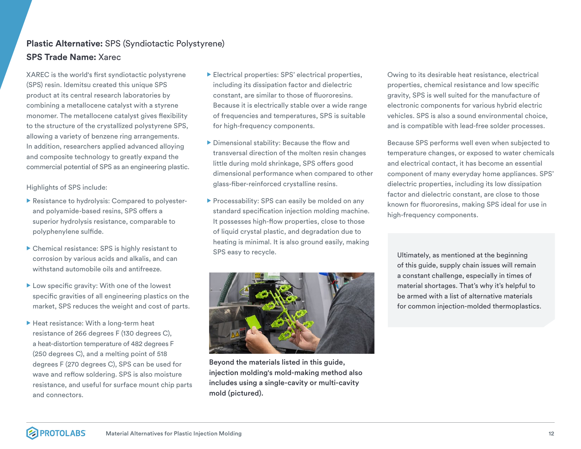#### **Plastic Alternative:** SPS (Syndiotactic Polystyrene) **SPS Trade Name:** Xarec

XAREC is the world's first syndiotactic polystyrene (SPS) resin. Idemitsu created this unique SPS product at its central research laboratories by combining a metallocene catalyst with a styrene monomer. The metallocene catalyst gives flexibility to the structure of the crystallized polystyrene SPS, allowing a variety of benzene ring arrangements. In addition, researchers applied advanced alloying and composite technology to greatly expand the commercial potential of SPS as an engineering plastic.

Highlights of SPS include:

- $\blacktriangleright$  Resistance to hydrolysis: Compared to polyesterand polyamide-based resins, SPS offers a superior hydrolysis resistance, comparable to polyphenylene sulfide.
- $\triangleright$  Chemical resistance: SPS is highly resistant to corrosion by various acids and alkalis, and can withstand automobile oils and antifreeze.
- $\blacktriangleright$  Low specific gravity: With one of the lowest specific gravities of all engineering plastics on the market, SPS reduces the weight and cost of parts.
- $\blacktriangleright$  Heat resistance: With a long-term heat resistance of 266 degrees F (130 degrees C), a heat-distortion temperature of 482 degrees F (250 degrees C), and a melting point of 518 degrees F (270 degrees C), SPS can be used for wave and reflow soldering. SPS is also moisture resistance, and useful for surface mount chip parts and connectors.
- $\blacktriangleright$  Electrical properties: SPS' electrical properties, including its dissipation factor and dielectric constant, are similar to those of fluororesins. Because it is electrically stable over a wide range of frequencies and temperatures, SPS is suitable for high-frequency components.
- $\triangleright$  Dimensional stability: Because the flow and transversal direction of the molten resin changes little during mold shrinkage, SPS offers good dimensional performance when compared to other glass-fiber-reinforced crystalline resins.
- $\blacktriangleright$  Processability: SPS can easily be molded on any standard specification injection molding machine. It possesses high-flow properties, close to those of liquid crystal plastic, and degradation due to heating is minimal. It is also ground easily, making SPS easy to recycle.



Because SPS performs well even when subjected to temperature changes, or exposed to water chemicals and electrical contact, it has become an essential component of many everyday home appliances. SPS' dielectric properties, including its low dissipation factor and dielectric constant, are close to those known for fluororesins, making SPS ideal for use in high-frequency components.

Ultimately, as mentioned at the beginning of this guide, supply chain issues will remain a constant challenge, especially in times of material shortages. That's why it's helpful to be armed with a list of alternative materials for common injection-molded thermoplastics.



Beyond the materials listed in this guide, injection molding's mold-making method also includes using a single-cavity or multi-cavity mold (pictured).